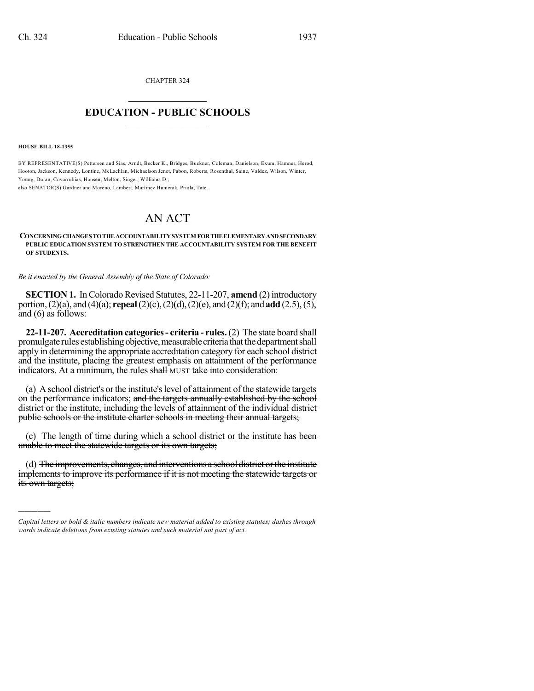CHAPTER 324  $\mathcal{L}_\text{max}$  . The set of the set of the set of the set of the set of the set of the set of the set of the set of the set of the set of the set of the set of the set of the set of the set of the set of the set of the set

## **EDUCATION - PUBLIC SCHOOLS**  $\_$   $\_$   $\_$   $\_$   $\_$   $\_$   $\_$   $\_$   $\_$

**HOUSE BILL 18-1355**

)))))

BY REPRESENTATIVE(S) Pettersen and Sias, Arndt, Becker K., Bridges, Buckner, Coleman, Danielson, Exum, Hamner, Herod, Hooton, Jackson, Kennedy, Lontine, McLachlan, Michaelson Jenet, Pabon, Roberts, Rosenthal, Saine, Valdez, Wilson, Winter, Young, Duran, Covarrubias, Hansen, Melton, Singer, Williams D.; also SENATOR(S) Gardner and Moreno, Lambert, Martinez Humenik, Priola, Tate.

AN ACT

## **CONCERNINGCHANGES TOTHEACCOUNTABILITYSYSTEM FORTHEELEMENTARYANDSECONDARY PUBLIC EDUCATION SYSTEM TO STRENGTHEN THE ACCOUNTABILITY SYSTEM FOR THE BENEFIT OF STUDENTS.**

*Be it enacted by the General Assembly of the State of Colorado:*

**SECTION 1.** In Colorado Revised Statutes, 22-11-207, **amend** (2) introductory portion,(2)(a), and (4)(a); **repeal**(2)(c),(2)(d),(2)(e), and (2)(f); and **add**(2.5),(5), and (6) as follows:

**22-11-207. Accreditation categories- criteria - rules.**(2) The state board shall promulgate rules establishing objective, measurable criteria that the department shall apply in determining the appropriate accreditation category for each school district and the institute, placing the greatest emphasis on attainment of the performance indicators. At a minimum, the rules shall MUST take into consideration:

(a) A school district's or the institute's level of attainment of the statewide targets on the performance indicators; and the targets annually established by the school district or the institute, including the levels of attainment of the individual district public schools or the institute charter schools in meeting their annual targets;

(c) The length of time during which a school district or the institute has been unable to meet the statewide targets or its own targets;

(d) The improvements, changes, and interventions a school district orthe institute implements to improve its performance if it is not meeting the statewide targets or its own targets;

*Capital letters or bold & italic numbers indicate new material added to existing statutes; dashes through words indicate deletions from existing statutes and such material not part of act.*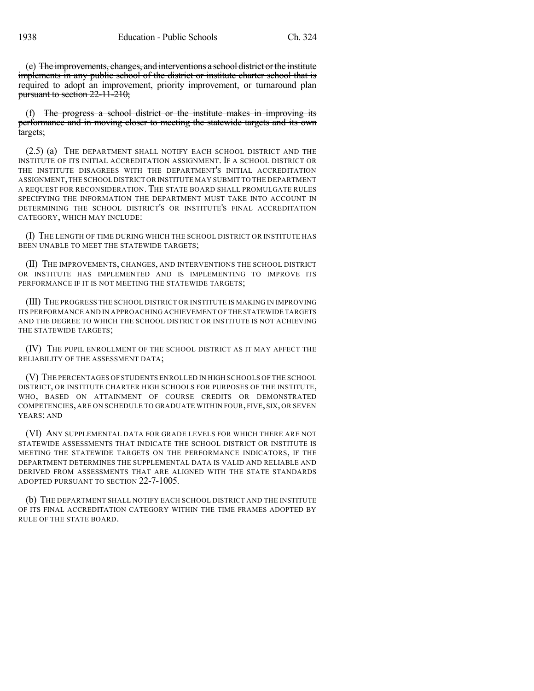(e) The improvements, changes, and interventions a school district orthe institute implements in any public school of the district or institute charter school that is required to adopt an improvement, priority improvement, or turnaround plan pursuant to section 22-11-210;

(f) The progress a school district or the institute makes in improving its performance and in moving closer to meeting the statewide targets and its own targets;

(2.5) (a) THE DEPARTMENT SHALL NOTIFY EACH SCHOOL DISTRICT AND THE INSTITUTE OF ITS INITIAL ACCREDITATION ASSIGNMENT. IF A SCHOOL DISTRICT OR THE INSTITUTE DISAGREES WITH THE DEPARTMENT'S INITIAL ACCREDITATION ASSIGNMENT,THE SCHOOL DISTRICT OR INSTITUTE MAY SUBMIT TO THE DEPARTMENT A REQUEST FOR RECONSIDERATION. THE STATE BOARD SHALL PROMULGATE RULES SPECIFYING THE INFORMATION THE DEPARTMENT MUST TAKE INTO ACCOUNT IN DETERMINING THE SCHOOL DISTRICT'S OR INSTITUTE'S FINAL ACCREDITATION CATEGORY, WHICH MAY INCLUDE:

(I) THE LENGTH OF TIME DURING WHICH THE SCHOOL DISTRICT OR INSTITUTE HAS BEEN UNABLE TO MEET THE STATEWIDE TARGETS;

(II) THE IMPROVEMENTS, CHANGES, AND INTERVENTIONS THE SCHOOL DISTRICT OR INSTITUTE HAS IMPLEMENTED AND IS IMPLEMENTING TO IMPROVE ITS PERFORMANCE IF IT IS NOT MEETING THE STATEWIDE TARGETS;

(III) THE PROGRESS THE SCHOOL DISTRICT OR INSTITUTE IS MAKING IN IMPROVING ITS PERFORMANCE AND IN APPROACHING ACHIEVEMENT OF THE STATEWIDE TARGETS AND THE DEGREE TO WHICH THE SCHOOL DISTRICT OR INSTITUTE IS NOT ACHIEVING THE STATEWIDE TARGETS;

(IV) THE PUPIL ENROLLMENT OF THE SCHOOL DISTRICT AS IT MAY AFFECT THE RELIABILITY OF THE ASSESSMENT DATA;

(V) THE PERCENTAGES OF STUDENTS ENROLLED IN HIGH SCHOOLS OF THE SCHOOL DISTRICT, OR INSTITUTE CHARTER HIGH SCHOOLS FOR PURPOSES OF THE INSTITUTE, WHO, BASED ON ATTAINMENT OF COURSE CREDITS OR DEMONSTRATED COMPETENCIES, ARE ON SCHEDULE TO GRADUATE WITHIN FOUR, FIVE, SIX, OR SEVEN YEARS; AND

(VI) ANY SUPPLEMENTAL DATA FOR GRADE LEVELS FOR WHICH THERE ARE NOT STATEWIDE ASSESSMENTS THAT INDICATE THE SCHOOL DISTRICT OR INSTITUTE IS MEETING THE STATEWIDE TARGETS ON THE PERFORMANCE INDICATORS, IF THE DEPARTMENT DETERMINES THE SUPPLEMENTAL DATA IS VALID AND RELIABLE AND DERIVED FROM ASSESSMENTS THAT ARE ALIGNED WITH THE STATE STANDARDS ADOPTED PURSUANT TO SECTION 22-7-1005.

(b) THE DEPARTMENT SHALL NOTIFY EACH SCHOOL DISTRICT AND THE INSTITUTE OF ITS FINAL ACCREDITATION CATEGORY WITHIN THE TIME FRAMES ADOPTED BY RULE OF THE STATE BOARD.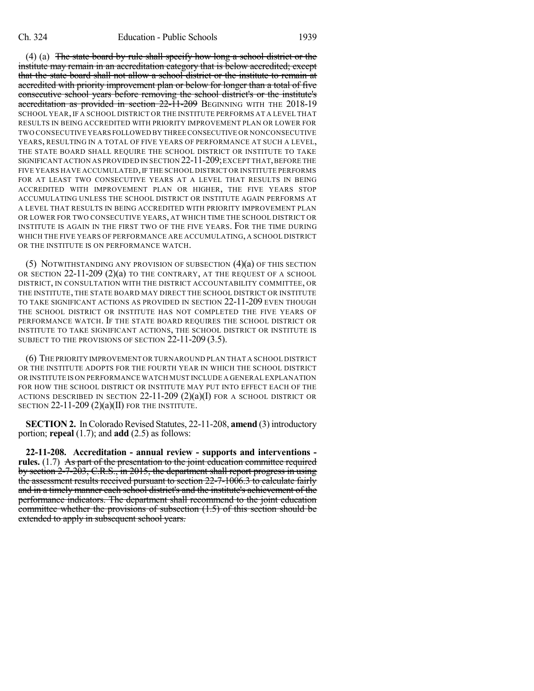(4) (a) The state board by rule shall specify how long a school district or the institute may remain in an accreditation category that is below accredited; except that the state board shall not allow a school district or the institute to remain at accredited with priority improvement plan or below for longer than a total of five consecutive school years before removing the school district's or the institute's accreditation as provided in section 22-11-209 BEGINNING WITH THE 2018-19 SCHOOL YEAR, IF A SCHOOL DISTRICT OR THE INSTITUTE PERFORMS AT A LEVEL THAT RESULTS IN BEING ACCREDITED WITH PRIORITY IMPROVEMENT PLAN OR LOWER FOR TWO CONSECUTIVE YEARS FOLLOWED BY THREE CONSECUTIVE OR NONCONSECUTIVE YEARS, RESULTING IN A TOTAL OF FIVE YEARS OF PERFORMANCE AT SUCH A LEVEL, THE STATE BOARD SHALL REQUIRE THE SCHOOL DISTRICT OR INSTITUTE TO TAKE SIGNIFICANT ACTION AS PROVIDED IN SECTION 22-11-209; EXCEPT THAT, BEFORE THE FIVE YEARS HAVE ACCUMULATED, IF THE SCHOOL DISTRICT OR INSTITUTE PERFORMS FOR AT LEAST TWO CONSECUTIVE YEARS AT A LEVEL THAT RESULTS IN BEING ACCREDITED WITH IMPROVEMENT PLAN OR HIGHER, THE FIVE YEARS STOP ACCUMULATING UNLESS THE SCHOOL DISTRICT OR INSTITUTE AGAIN PERFORMS AT A LEVEL THAT RESULTS IN BEING ACCREDITED WITH PRIORITY IMPROVEMENT PLAN OR LOWER FOR TWO CONSECUTIVE YEARS, AT WHICH TIME THE SCHOOL DISTRICT OR INSTITUTE IS AGAIN IN THE FIRST TWO OF THE FIVE YEARS. FOR THE TIME DURING WHICH THE FIVE YEARS OF PERFORMANCE ARE ACCUMULATING, A SCHOOL DISTRICT OR THE INSTITUTE IS ON PERFORMANCE WATCH.

(5) NOTWITHSTANDING ANY PROVISION OF SUBSECTION (4)(a) OF THIS SECTION OR SECTION 22-11-209 (2)(a) TO THE CONTRARY, AT THE REQUEST OF A SCHOOL DISTRICT, IN CONSULTATION WITH THE DISTRICT ACCOUNTABILITY COMMITTEE, OR THE INSTITUTE, THE STATE BOARD MAY DIRECT THE SCHOOL DISTRICT OR INSTITUTE TO TAKE SIGNIFICANT ACTIONS AS PROVIDED IN SECTION 22-11-209 EVEN THOUGH THE SCHOOL DISTRICT OR INSTITUTE HAS NOT COMPLETED THE FIVE YEARS OF PERFORMANCE WATCH. IF THE STATE BOARD REQUIRES THE SCHOOL DISTRICT OR INSTITUTE TO TAKE SIGNIFICANT ACTIONS, THE SCHOOL DISTRICT OR INSTITUTE IS SUBJECT TO THE PROVISIONS OF SECTION 22-11-209 (3.5).

(6) THE PRIORITY IMPROVEMENT OR TURNAROUND PLAN THAT A SCHOOL DISTRICT OR THE INSTITUTE ADOPTS FOR THE FOURTH YEAR IN WHICH THE SCHOOL DISTRICT OR INSTITUTE IS ON PERFORMANCE WATCH MUST INCLUDE A GENERAL EXPLANATION FOR HOW THE SCHOOL DISTRICT OR INSTITUTE MAY PUT INTO EFFECT EACH OF THE ACTIONS DESCRIBED IN SECTION  $22-11-209$   $(2)(a)(I)$  for a school district or SECTION  $22-11-209(2)(a)(II)$  for the institute.

**SECTION 2.** In Colorado Revised Statutes, 22-11-208, **amend** (3) introductory portion; **repeal** (1.7); and **add** (2.5) as follows:

**22-11-208. Accreditation - annual review - supports and interventions rules.** (1.7) As part of the presentation to the joint education committee required by section 2-7-203, C.R.S., in 2015, the department shall report progress in using the assessment results received pursuant to section 22-7-1006.3 to calculate fairly and in a timely manner each school district's and the institute's achievement of the performance indicators. The department shall recommend to the joint education committee whether the provisions of subsection (1.5) of this section should be extended to apply in subsequent school years.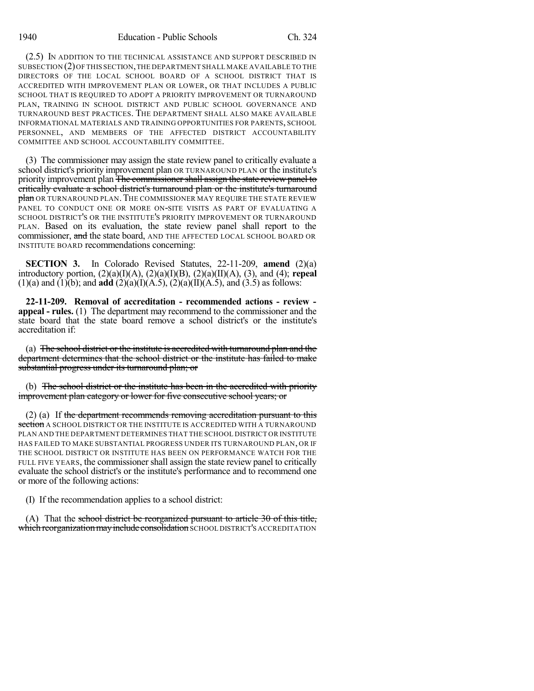(2.5) IN ADDITION TO THE TECHNICAL ASSISTANCE AND SUPPORT DESCRIBED IN SUBSECTION (2)OF THIS SECTION,THE DEPARTMENT SHALL MAKE AVAILABLE TO THE DIRECTORS OF THE LOCAL SCHOOL BOARD OF A SCHOOL DISTRICT THAT IS ACCREDITED WITH IMPROVEMENT PLAN OR LOWER, OR THAT INCLUDES A PUBLIC SCHOOL THAT IS REQUIRED TO ADOPT A PRIORITY IMPROVEMENT OR TURNAROUND PLAN, TRAINING IN SCHOOL DISTRICT AND PUBLIC SCHOOL GOVERNANCE AND TURNAROUND BEST PRACTICES. THE DEPARTMENT SHALL ALSO MAKE AVAILABLE INFORMATIONAL MATERIALS AND TRAINING OPPORTUNITIES FOR PARENTS, SCHOOL PERSONNEL, AND MEMBERS OF THE AFFECTED DISTRICT ACCOUNTABILITY COMMITTEE AND SCHOOL ACCOUNTABILITY COMMITTEE.

(3) The commissioner may assign the state review panel to critically evaluate a school district's priority improvement plan OR TURNAROUND PLAN or the institute's priority improvement plan The commissioner shall assign the state review panel to critically evaluate a school district's turnaround plan or the institute's turnaround plan OR TURNAROUND PLAN. THE COMMISSIONER MAY REQUIRE THE STATE REVIEW PANEL TO CONDUCT ONE OR MORE ON-SITE VISITS AS PART OF EVALUATING A SCHOOL DISTRICT'S OR THE INSTITUTE'S PRIORITY IMPROVEMENT OR TURNAROUND PLAN. Based on its evaluation, the state review panel shall report to the commissioner, and the state board, AND THE AFFECTED LOCAL SCHOOL BOARD OR INSTITUTE BOARD recommendations concerning:

**SECTION 3.** In Colorado Revised Statutes, 22-11-209, **amend** (2)(a) introductory portion, (2)(a)(I)(A), (2)(a)(I)(B), (2)(a)(II)(A), (3), and (4); **repeal**  $(1)(a)$  and  $(1)(b)$ ; and **add**  $(2)(a)(I)(A.5)$ ,  $(2)(a)(II)(A.5)$ , and  $(3.5)$  as follows:

**22-11-209. Removal of accreditation - recommended actions - review appeal - rules.** (1) The department may recommend to the commissioner and the state board that the state board remove a school district's or the institute's accreditation if:

(a) The school district or the institute is accredited with turnaround plan and the department determines that the school district or the institute has failed to make substantial progress under its turnaround plan; or

(b) The school district or the institute has been in the accredited with priority improvement plan category or lower for five consecutive school years; or

 $(2)$  (a) If the department recommends removing accreditation pursuant to this section A SCHOOL DISTRICT OR THE INSTITUTE IS ACCREDITED WITH A TURNAROUND PLAN AND THE DEPARTMENT DETERMINES THAT THE SCHOOL DISTRICT OR INSTITUTE HAS FAILED TO MAKE SUBSTANTIAL PROGRESS UNDER ITS TURNAROUND PLAN, OR IF THE SCHOOL DISTRICT OR INSTITUTE HAS BEEN ON PERFORMANCE WATCH FOR THE FULL FIVE YEARS, the commissioner shall assign the state review panel to critically evaluate the school district's or the institute's performance and to recommend one or more of the following actions:

(I) If the recommendation applies to a school district:

(A) That the school district be reorganized pursuant to article  $30$  of this title, which reorganization may include consolidation SCHOOL DISTRICT'S ACCREDITATION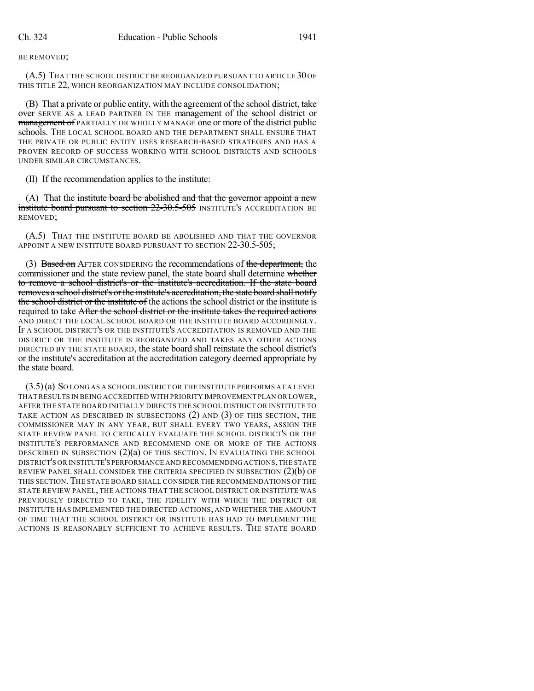BE REMOVED;

(A.5) THAT THE SCHOOL DISTRICT BE REORGANIZED PURSUANT TO ARTICLE 30 OF THIS TITLE 22, WHICH REORGANIZATION MAY INCLUDE CONSOLIDATION;

(B) That a private or public entity, with the agreement of the school district, take over SERVE AS A LEAD PARTNER IN THE management of the school district or **management of** PARTIALLY OR WHOLLY MANAGE one or more of the district public schools. THE LOCAL SCHOOL BOARD AND THE DEPARTMENT SHALL ENSURE THAT THE PRIVATE OR PUBLIC ENTITY USES RESEARCH-BASED STRATEGIES AND HAS A PROVEN RECORD OF SUCCESS WORKING WITH SCHOOL DISTRICTS AND SCHOOLS UNDER SIMILAR CIRCUMSTANCES.

(II) If the recommendation applies to the institute:

(A) That the institute board be abolished and that the governor appoint a new **institute board pursuant to section 22-30.5-505** INSTITUTE'S ACCREDITATION BE REMOVED;

(A.5) THAT THE INSTITUTE BOARD BE ABOLISHED AND THAT THE GOVERNOR APPOINT A NEW INSTITUTE BOARD PURSUANT TO SECTION 22-30.5-505;

(3) Based on AFTER CONSIDERING the recommendations of the department, the commissioner and the state review panel, the state board shall determine whether to remove a school district's or the institute's accreditation. If the state board removes a school district's orthe institute's accreditation, the state board shall notify the school district or the institute of the actions the school district or the institute is required to take After the school district or the institute takes the required actions AND DIRECT THE LOCAL SCHOOL BOARD OR THE INSTITUTE BOARD ACCORDINGLY. IF A SCHOOL DISTRICT'S OR THE INSTITUTE'S ACCREDITATION IS REMOVED AND THE DISTRICT OR THE INSTITUTE IS REORGANIZED AND TAKES ANY OTHER ACTIONS DIRECTED BY THE STATE BOARD, the state board shall reinstate the school district's or the institute's accreditation at the accreditation category deemed appropriate by the state board.

(3.5)(a) SO LONG AS A SCHOOL DISTRICT OR THE INSTITUTE PERFORMS AT A LEVEL THATRESULTS IN BEING ACCREDITED WITH PRIORITY IMPROVEMENT PLAN OR LOWER, AFTER THE STATE BOARD INITIALLY DIRECTS THE SCHOOL DISTRICT OR INSTITUTE TO TAKE ACTION AS DESCRIBED IN SUBSECTIONS (2) AND (3) OF THIS SECTION, THE COMMISSIONER MAY IN ANY YEAR, BUT SHALL EVERY TWO YEARS, ASSIGN THE STATE REVIEW PANEL TO CRITICALLY EVALUATE THE SCHOOL DISTRICT'S OR THE INSTITUTE'S PERFORMANCE AND RECOMMEND ONE OR MORE OF THE ACTIONS DESCRIBED IN SUBSECTION (2)(a) OF THIS SECTION. IN EVALUATING THE SCHOOL DISTRICT'S OR INSTITUTE'S PERFORMANCE AND RECOMMENDING ACTIONS,THE STATE REVIEW PANEL SHALL CONSIDER THE CRITERIA SPECIFIED IN SUBSECTION  $(2)(b)$  OF THIS SECTION.THE STATE BOARD SHALL CONSIDER THE RECOMMENDATIONS OF THE STATE REVIEW PANEL, THE ACTIONS THAT THE SCHOOL DISTRICT OR INSTITUTE WAS PREVIOUSLY DIRECTED TO TAKE, THE FIDELITY WITH WHICH THE DISTRICT OR INSTITUTE HAS IMPLEMENTED THE DIRECTED ACTIONS, AND WHETHER THE AMOUNT OF TIME THAT THE SCHOOL DISTRICT OR INSTITUTE HAS HAD TO IMPLEMENT THE ACTIONS IS REASONABLY SUFFICIENT TO ACHIEVE RESULTS. THE STATE BOARD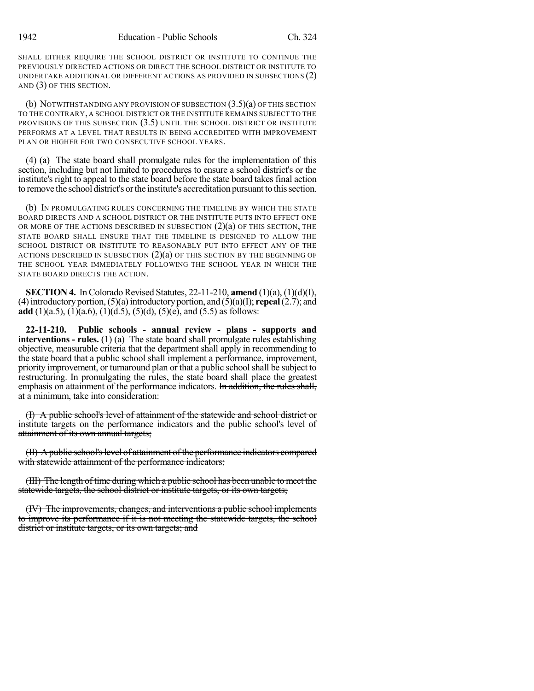SHALL EITHER REQUIRE THE SCHOOL DISTRICT OR INSTITUTE TO CONTINUE THE PREVIOUSLY DIRECTED ACTIONS OR DIRECT THE SCHOOL DISTRICT OR INSTITUTE TO UNDERTAKE ADDITIONAL OR DIFFERENT ACTIONS AS PROVIDED IN SUBSECTIONS (2) AND (3) OF THIS SECTION.

(b) NOTWITHSTANDING ANY PROVISION OF SUBSECTION  $(3.5)(a)$  OF THIS SECTION TO THE CONTRARY, A SCHOOL DISTRICT OR THE INSTITUTE REMAINS SUBJECT TO THE PROVISIONS OF THIS SUBSECTION (3.5) UNTIL THE SCHOOL DISTRICT OR INSTITUTE PERFORMS AT A LEVEL THAT RESULTS IN BEING ACCREDITED WITH IMPROVEMENT PLAN OR HIGHER FOR TWO CONSECUTIVE SCHOOL YEARS.

(4) (a) The state board shall promulgate rules for the implementation of this section, including but not limited to procedures to ensure a school district's or the institute's right to appeal to the state board before the state board takes final action to remove the school district's orthe institute's accreditation pursuant to thissection.

(b) IN PROMULGATING RULES CONCERNING THE TIMELINE BY WHICH THE STATE BOARD DIRECTS AND A SCHOOL DISTRICT OR THE INSTITUTE PUTS INTO EFFECT ONE OR MORE OF THE ACTIONS DESCRIBED IN SUBSECTION  $(2)(a)$  OF THIS SECTION, THE STATE BOARD SHALL ENSURE THAT THE TIMELINE IS DESIGNED TO ALLOW THE SCHOOL DISTRICT OR INSTITUTE TO REASONABLY PUT INTO EFFECT ANY OF THE ACTIONS DESCRIBED IN SUBSECTION  $(2)(a)$  OF THIS SECTION BY THE BEGINNING OF THE SCHOOL YEAR IMMEDIATELY FOLLOWING THE SCHOOL YEAR IN WHICH THE STATE BOARD DIRECTS THE ACTION.

**SECTION 4.** In Colorado Revised Statutes,  $22-11-210$ , **amend**  $(1)(a)$ ,  $(1)(d)(I)$ , (4)introductory portion,(5)(a)introductory portion, and (5)(a)(I); **repeal**(2.7); and **add** (1)(a.5), (1)(a.6), (1)(d.5), (5)(d), (5)(e), and (5.5) as follows:

**22-11-210. Public schools - annual review - plans - supports and interventions - rules.** (1) (a) The state board shall promulgate rules establishing objective, measurable criteria that the department shall apply in recommending to the state board that a public school shall implement a performance, improvement, priority improvement, or turnaround plan or that a public schoolshall be subject to restructuring. In promulgating the rules, the state board shall place the greatest emphasis on attainment of the performance indicators. In addition, the rules shall, at a minimum, take into consideration:

(I) A public school's level of attainment of the statewide and school district or institute targets on the performance indicators and the public school's level of attainment of its own annual targets;

(II) A public school's level of attainment of the performance indicators compared with statewide attainment of the performance indicators;

(III) The length of time during which a public school has been unable to meet the statewide targets, the school district or institute targets, or its own targets;

(IV) The improvements, changes, and interventions a public school implements to improve its performance if it is not meeting the statewide targets, the school district or institute targets, or its own targets; and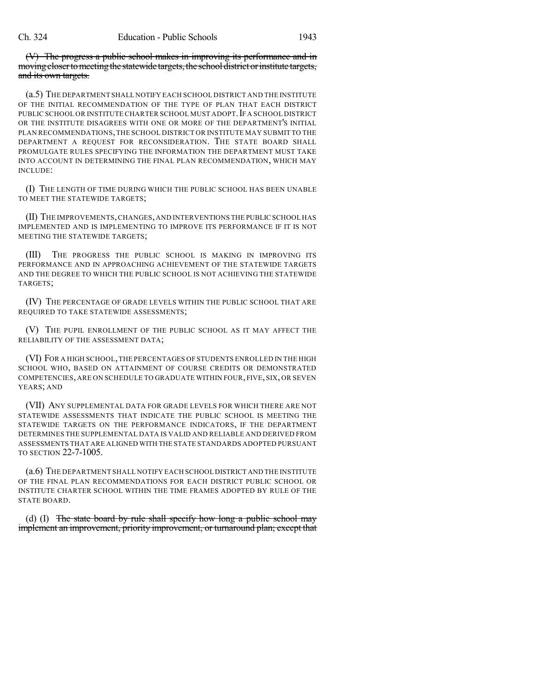(V) The progress a public school makes in improving its performance and in moving closer to meeting the statewide targets, the school district or institute targets, and its own targets.

(a.5) THE DEPARTMENT SHALL NOTIFY EACH SCHOOL DISTRICT AND THE INSTITUTE OF THE INITIAL RECOMMENDATION OF THE TYPE OF PLAN THAT EACH DISTRICT PUBLIC SCHOOL OR INSTITUTE CHARTER SCHOOL MUST ADOPT. IF A SCHOOL DISTRICT OR THE INSTITUTE DISAGREES WITH ONE OR MORE OF THE DEPARTMENT'S INITIAL PLAN RECOMMENDATIONS,THE SCHOOL DISTRICT OR INSTITUTE MAY SUBMIT TO THE DEPARTMENT A REQUEST FOR RECONSIDERATION. THE STATE BOARD SHALL PROMULGATE RULES SPECIFYING THE INFORMATION THE DEPARTMENT MUST TAKE INTO ACCOUNT IN DETERMINING THE FINAL PLAN RECOMMENDATION, WHICH MAY INCLUDE:

(I) THE LENGTH OF TIME DURING WHICH THE PUBLIC SCHOOL HAS BEEN UNABLE TO MEET THE STATEWIDE TARGETS;

(II) THE IMPROVEMENTS,CHANGES,AND INTERVENTIONS THE PUBLIC SCHOOL HAS IMPLEMENTED AND IS IMPLEMENTING TO IMPROVE ITS PERFORMANCE IF IT IS NOT MEETING THE STATEWIDE TARGETS;

(III) THE PROGRESS THE PUBLIC SCHOOL IS MAKING IN IMPROVING ITS PERFORMANCE AND IN APPROACHING ACHIEVEMENT OF THE STATEWIDE TARGETS AND THE DEGREE TO WHICH THE PUBLIC SCHOOL IS NOT ACHIEVING THE STATEWIDE TARGETS;

(IV) THE PERCENTAGE OF GRADE LEVELS WITHIN THE PUBLIC SCHOOL THAT ARE REQUIRED TO TAKE STATEWIDE ASSESSMENTS;

(V) THE PUPIL ENROLLMENT OF THE PUBLIC SCHOOL AS IT MAY AFFECT THE RELIABILITY OF THE ASSESSMENT DATA;

(VI) FOR A HIGH SCHOOL,THE PERCENTAGES OF STUDENTS ENROLLED IN THE HIGH SCHOOL WHO, BASED ON ATTAINMENT OF COURSE CREDITS OR DEMONSTRATED COMPETENCIES, ARE ON SCHEDULE TO GRADUATE WITHIN FOUR, FIVE, SIX, OR SEVEN YEARS; AND

(VII) ANY SUPPLEMENTAL DATA FOR GRADE LEVELS FOR WHICH THERE ARE NOT STATEWIDE ASSESSMENTS THAT INDICATE THE PUBLIC SCHOOL IS MEETING THE STATEWIDE TARGETS ON THE PERFORMANCE INDICATORS, IF THE DEPARTMENT DETERMINES THE SUPPLEMENTAL DATA IS VALID AND RELIABLE AND DERIVED FROM ASSESSMENTS THAT ARE ALIGNED WITH THE STATE STANDARDS ADOPTED PURSUANT TO SECTION 22-7-1005.

(a.6) THE DEPARTMENT SHALL NOTIFY EACH SCHOOL DISTRICT AND THE INSTITUTE OF THE FINAL PLAN RECOMMENDATIONS FOR EACH DISTRICT PUBLIC SCHOOL OR INSTITUTE CHARTER SCHOOL WITHIN THE TIME FRAMES ADOPTED BY RULE OF THE STATE BOARD.

(d) (I) The state board by rule shall specify how long a public school may implement an improvement, priority improvement, or turnaround plan; except that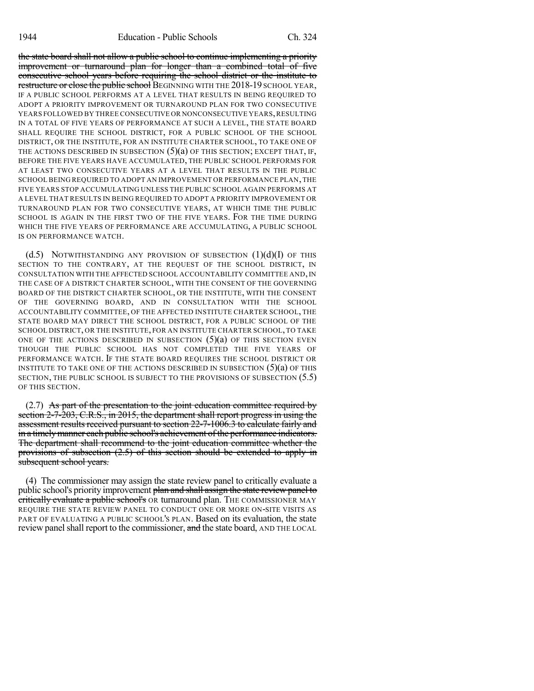the state board shall not allow a public school to continue implementing a priority improvement or turnaround plan for longer than a combined total of five consecutive school years before requiring the school district or the institute to restructure or close the public school BEGINNING WITH THE 2018-19 SCHOOL YEAR, IF A PUBLIC SCHOOL PERFORMS AT A LEVEL THAT RESULTS IN BEING REQUIRED TO ADOPT A PRIORITY IMPROVEMENT OR TURNAROUND PLAN FOR TWO CONSECUTIVE YEARS FOLLOWED BY THREE CONSECUTIVE OR NONCONSECUTIVE YEARS, RESULTING IN A TOTAL OF FIVE YEARS OF PERFORMANCE AT SUCH A LEVEL, THE STATE BOARD SHALL REQUIRE THE SCHOOL DISTRICT, FOR A PUBLIC SCHOOL OF THE SCHOOL DISTRICT, OR THE INSTITUTE, FOR AN INSTITUTE CHARTER SCHOOL, TO TAKE ONE OF THE ACTIONS DESCRIBED IN SUBSECTION  $(5)(a)$  OF THIS SECTION; EXCEPT THAT, IF, BEFORE THE FIVE YEARS HAVE ACCUMULATED, THE PUBLIC SCHOOL PERFORMS FOR AT LEAST TWO CONSECUTIVE YEARS AT A LEVEL THAT RESULTS IN THE PUBLIC SCHOOL BEING REQUIRED TO ADOPT AN IMPROVEMENT OR PERFORMANCE PLAN, THE FIVE YEARS STOP ACCUMULATING UNLESS THE PUBLIC SCHOOL AGAIN PERFORMS AT A LEVEL THAT RESULTS IN BEING REQUIRED TO ADOPT A PRIORITY IMPROVEMENT OR TURNAROUND PLAN FOR TWO CONSECUTIVE YEARS, AT WHICH TIME THE PUBLIC SCHOOL IS AGAIN IN THE FIRST TWO OF THE FIVE YEARS. FOR THE TIME DURING WHICH THE FIVE YEARS OF PERFORMANCE ARE ACCUMULATING, A PUBLIC SCHOOL IS ON PERFORMANCE WATCH.

(d.5) NOTWITHSTANDING ANY PROVISION OF SUBSECTION  $(1)(d)(I)$  OF THIS SECTION TO THE CONTRARY, AT THE REQUEST OF THE SCHOOL DISTRICT, IN CONSULTATION WITH THE AFFECTED SCHOOL ACCOUNTABILITY COMMITTEE AND,IN THE CASE OF A DISTRICT CHARTER SCHOOL, WITH THE CONSENT OF THE GOVERNING BOARD OF THE DISTRICT CHARTER SCHOOL, OR THE INSTITUTE, WITH THE CONSENT OF THE GOVERNING BOARD, AND IN CONSULTATION WITH THE SCHOOL ACCOUNTABILITY COMMITTEE, OF THE AFFECTED INSTITUTE CHARTER SCHOOL, THE STATE BOARD MAY DIRECT THE SCHOOL DISTRICT, FOR A PUBLIC SCHOOL OF THE SCHOOL DISTRICT, OR THE INSTITUTE, FOR AN INSTITUTE CHARTER SCHOOL, TO TAKE ONE OF THE ACTIONS DESCRIBED IN SUBSECTION  $(5)(a)$  OF THIS SECTION EVEN THOUGH THE PUBLIC SCHOOL HAS NOT COMPLETED THE FIVE YEARS OF PERFORMANCE WATCH. IF THE STATE BOARD REQUIRES THE SCHOOL DISTRICT OR INSTITUTE TO TAKE ONE OF THE ACTIONS DESCRIBED IN SUBSECTION  $(5)(a)$  OF THIS SECTION, THE PUBLIC SCHOOL IS SUBJECT TO THE PROVISIONS OF SUBSECTION (5.5) OF THIS SECTION.

(2.7) As part of the presentation to the joint education committee required by section 2-7-203, C.R.S., in 2015, the department shall report progress in using the assessment results received pursuant to section 22-7-1006.3 to calculate fairly and in a timely manner each public school's achievement of the performance indicators. The department shall recommend to the joint education committee whether the provisions of subsection (2.5) of this section should be extended to apply in subsequent school years.

(4) The commissioner may assign the state review panel to critically evaluate a public school's priority improvement plan and shall assign the state review panel to critically evaluate a public school's OR turnaround plan. THE COMMISSIONER MAY REQUIRE THE STATE REVIEW PANEL TO CONDUCT ONE OR MORE ON-SITE VISITS AS PART OF EVALUATING A PUBLIC SCHOOL'S PLAN. Based on its evaluation, the state review panel shall report to the commissioner, and the state board, AND THE LOCAL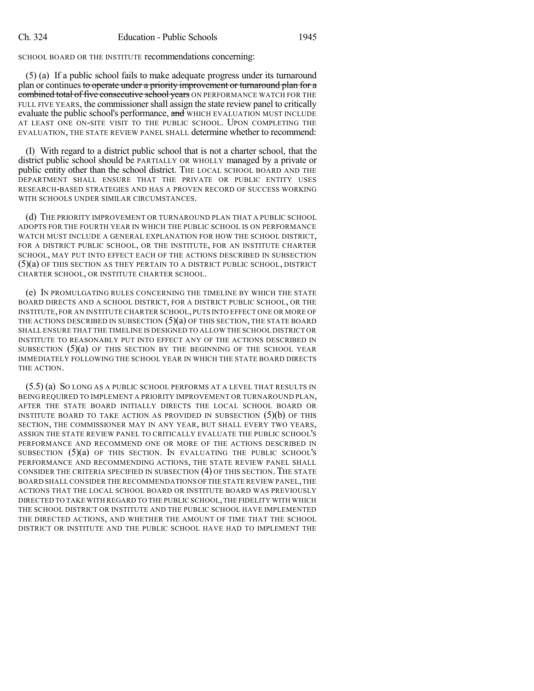SCHOOL BOARD OR THE INSTITUTE recommendations concerning:

(5) (a) If a public school fails to make adequate progress under its turnaround plan or continues to operate under a priority improvement or turnaround plan for a combined total of five consecutive school years ON PERFORMANCE WATCH FOR THE FULL FIVE YEARS, the commissioner shall assign the state review panel to critically evaluate the public school's performance, and WHICH EVALUATION MUST INCLUDE AT LEAST ONE ON-SITE VISIT TO THE PUBLIC SCHOOL. UPON COMPLETING THE EVALUATION, THE STATE REVIEW PANEL SHALL determine whether to recommend:

(I) With regard to a district public school that is not a charter school, that the district public school should be PARTIALLY OR WHOLLY managed by a private or public entity other than the school district. THE LOCAL SCHOOL BOARD AND THE DEPARTMENT SHALL ENSURE THAT THE PRIVATE OR PUBLIC ENTITY USES RESEARCH-BASED STRATEGIES AND HAS A PROVEN RECORD OF SUCCESS WORKING WITH SCHOOLS UNDER SIMILAR CIRCUMSTANCES.

(d) THE PRIORITY IMPROVEMENT OR TURNAROUND PLAN THAT A PUBLIC SCHOOL ADOPTS FOR THE FOURTH YEAR IN WHICH THE PUBLIC SCHOOL IS ON PERFORMANCE WATCH MUST INCLUDE A GENERAL EXPLANATION FOR HOW THE SCHOOL DISTRICT, FOR A DISTRICT PUBLIC SCHOOL, OR THE INSTITUTE, FOR AN INSTITUTE CHARTER SCHOOL, MAY PUT INTO EFFECT EACH OF THE ACTIONS DESCRIBED IN SUBSECTION (5)(a) OF THIS SECTION AS THEY PERTAIN TO A DISTRICT PUBLIC SCHOOL, DISTRICT CHARTER SCHOOL, OR INSTITUTE CHARTER SCHOOL.

(e) IN PROMULGATING RULES CONCERNING THE TIMELINE BY WHICH THE STATE BOARD DIRECTS AND A SCHOOL DISTRICT, FOR A DISTRICT PUBLIC SCHOOL, OR THE INSTITUTE, FOR AN INSTITUTE CHARTER SCHOOL, PUTS INTO EFFECT ONE OR MORE OF THE ACTIONS DESCRIBED IN SUBSECTION  $(5)(a)$  OF THIS SECTION, THE STATE BOARD SHALL ENSURE THAT THE TIMELINE IS DESIGNED TO ALLOW THE SCHOOL DISTRICT OR INSTITUTE TO REASONABLY PUT INTO EFFECT ANY OF THE ACTIONS DESCRIBED IN SUBSECTION  $(5)(a)$  OF THIS SECTION BY THE BEGINNING OF THE SCHOOL YEAR IMMEDIATELY FOLLOWING THE SCHOOL YEAR IN WHICH THE STATE BOARD DIRECTS THE ACTION.

(5.5) (a) SO LONG AS A PUBLIC SCHOOL PERFORMS AT A LEVEL THAT RESULTS IN BEING REQUIRED TO IMPLEMENT A PRIORITY IMPROVEMENT OR TURNAROUND PLAN, AFTER THE STATE BOARD INITIALLY DIRECTS THE LOCAL SCHOOL BOARD OR INSTITUTE BOARD TO TAKE ACTION AS PROVIDED IN SUBSECTION  $(5)(b)$  of this SECTION, THE COMMISSIONER MAY IN ANY YEAR, BUT SHALL EVERY TWO YEARS, ASSIGN THE STATE REVIEW PANEL TO CRITICALLY EVALUATE THE PUBLIC SCHOOL'S PERFORMANCE AND RECOMMEND ONE OR MORE OF THE ACTIONS DESCRIBED IN SUBSECTION (5)(a) OF THIS SECTION. IN EVALUATING THE PUBLIC SCHOOL'S PERFORMANCE AND RECOMMENDING ACTIONS, THE STATE REVIEW PANEL SHALL CONSIDER THE CRITERIA SPECIFIED IN SUBSECTION (4) OF THIS SECTION. THE STATE BOARD SHALL CONSIDER THE RECOMMENDATIONS OFTHE STATE REVIEW PANEL,THE ACTIONS THAT THE LOCAL SCHOOL BOARD OR INSTITUTE BOARD WAS PREVIOUSLY DIRECTED TO TAKE WITH REGARD TO THE PUBLIC SCHOOL,THE FIDELITY WITH WHICH THE SCHOOL DISTRICT OR INSTITUTE AND THE PUBLIC SCHOOL HAVE IMPLEMENTED THE DIRECTED ACTIONS, AND WHETHER THE AMOUNT OF TIME THAT THE SCHOOL DISTRICT OR INSTITUTE AND THE PUBLIC SCHOOL HAVE HAD TO IMPLEMENT THE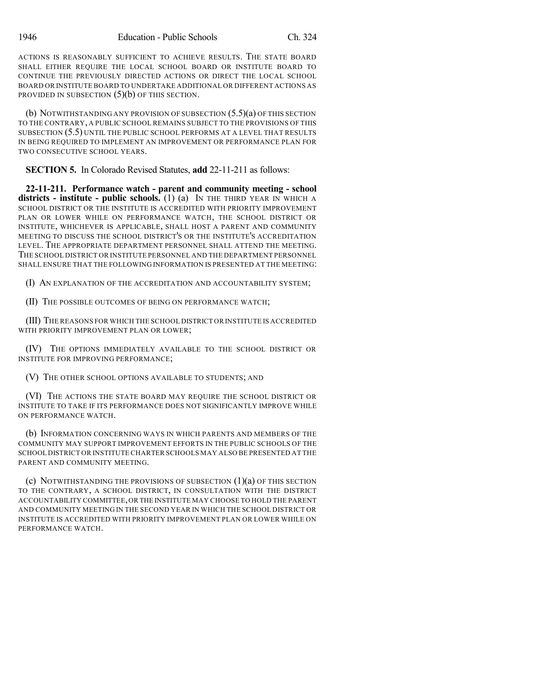ACTIONS IS REASONABLY SUFFICIENT TO ACHIEVE RESULTS. THE STATE BOARD SHALL EITHER REQUIRE THE LOCAL SCHOOL BOARD OR INSTITUTE BOARD TO CONTINUE THE PREVIOUSLY DIRECTED ACTIONS OR DIRECT THE LOCAL SCHOOL BOARD OR INSTITUTE BOARD TO UNDERTAKE ADDITIONAL OR DIFFERENT ACTIONS AS PROVIDED IN SUBSECTION  $(5)(b)$  OF THIS SECTION.

(b) NOTWITHSTANDING ANY PROVISION OF SUBSECTION (5.5)(a) OF THIS SECTION TO THE CONTRARY, A PUBLIC SCHOOL REMAINS SUBJECT TO THE PROVISIONS OF THIS SUBSECTION (5.5) UNTIL THE PUBLIC SCHOOL PERFORMS AT A LEVEL THAT RESULTS IN BEING REQUIRED TO IMPLEMENT AN IMPROVEMENT OR PERFORMANCE PLAN FOR TWO CONSECUTIVE SCHOOL YEARS.

**SECTION 5.** In Colorado Revised Statutes, **add** 22-11-211 as follows:

**22-11-211. Performance watch - parent and community meeting - school districts - institute - public schools.** (1) (a) IN THE THIRD YEAR IN WHICH A SCHOOL DISTRICT OR THE INSTITUTE IS ACCREDITED WITH PRIORITY IMPROVEMENT PLAN OR LOWER WHILE ON PERFORMANCE WATCH, THE SCHOOL DISTRICT OR INSTITUTE, WHICHEVER IS APPLICABLE, SHALL HOST A PARENT AND COMMUNITY MEETING TO DISCUSS THE SCHOOL DISTRICT'S OR THE INSTITUTE'S ACCREDITATION LEVEL. THE APPROPRIATE DEPARTMENT PERSONNEL SHALL ATTEND THE MEETING. THE SCHOOL DISTRICT OR INSTITUTE PERSONNEL AND THE DEPARTMENT PERSONNEL SHALL ENSURE THAT THE FOLLOWING INFORMATION IS PRESENTED AT THE MEETING:

(I) AN EXPLANATION OF THE ACCREDITATION AND ACCOUNTABILITY SYSTEM;

(II) THE POSSIBLE OUTCOMES OF BEING ON PERFORMANCE WATCH;

(III) THE REASONS FOR WHICH THE SCHOOL DISTRICT OR INSTITUTE IS ACCREDITED WITH PRIORITY IMPROVEMENT PLAN OR LOWER;

(IV) THE OPTIONS IMMEDIATELY AVAILABLE TO THE SCHOOL DISTRICT OR INSTITUTE FOR IMPROVING PERFORMANCE;

(V) THE OTHER SCHOOL OPTIONS AVAILABLE TO STUDENTS; AND

(VI) THE ACTIONS THE STATE BOARD MAY REQUIRE THE SCHOOL DISTRICT OR INSTITUTE TO TAKE IF ITS PERFORMANCE DOES NOT SIGNIFICANTLY IMPROVE WHILE ON PERFORMANCE WATCH.

(b) INFORMATION CONCERNING WAYS IN WHICH PARENTS AND MEMBERS OF THE COMMUNITY MAY SUPPORT IMPROVEMENT EFFORTS IN THE PUBLIC SCHOOLS OF THE SCHOOL DISTRICT OR INSTITUTE CHARTER SCHOOLS MAY ALSO BE PRESENTED AT THE PARENT AND COMMUNITY MEETING.

(c) NOTWITHSTANDING THE PROVISIONS OF SUBSECTION (1)(a) OF THIS SECTION TO THE CONTRARY, A SCHOOL DISTRICT, IN CONSULTATION WITH THE DISTRICT ACCOUNTABILITY COMMITTEE,OR THE INSTITUTE MAY CHOOSE TO HOLD THE PARENT AND COMMUNITY MEETING IN THE SECOND YEAR IN WHICH THE SCHOOL DISTRICT OR INSTITUTE IS ACCREDITED WITH PRIORITY IMPROVEMENT PLAN OR LOWER WHILE ON PERFORMANCE WATCH.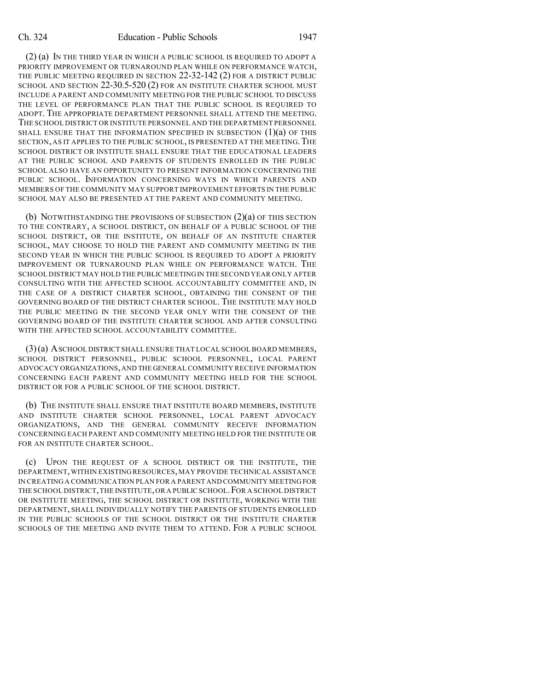(2) (a) IN THE THIRD YEAR IN WHICH A PUBLIC SCHOOL IS REQUIRED TO ADOPT A PRIORITY IMPROVEMENT OR TURNAROUND PLAN WHILE ON PERFORMANCE WATCH, THE PUBLIC MEETING REQUIRED IN SECTION 22-32-142 (2) FOR A DISTRICT PUBLIC SCHOOL AND SECTION 22-30.5-520 (2) FOR AN INSTITUTE CHARTER SCHOOL MUST INCLUDE A PARENT AND COMMUNITY MEETING FOR THE PUBLIC SCHOOL TO DISCUSS THE LEVEL OF PERFORMANCE PLAN THAT THE PUBLIC SCHOOL IS REQUIRED TO ADOPT. THE APPROPRIATE DEPARTMENT PERSONNEL SHALL ATTEND THE MEETING. THE SCHOOL DISTRICT OR INSTITUTE PERSONNEL AND THE DEPARTMENT PERSONNEL SHALL ENSURE THAT THE INFORMATION SPECIFIED IN SUBSECTION  $(1)(a)$  of this SECTION, AS IT APPLIES TO THE PUBLIC SCHOOL, IS PRESENTED AT THE MEETING. THE SCHOOL DISTRICT OR INSTITUTE SHALL ENSURE THAT THE EDUCATIONAL LEADERS AT THE PUBLIC SCHOOL AND PARENTS OF STUDENTS ENROLLED IN THE PUBLIC SCHOOL ALSO HAVE AN OPPORTUNITY TO PRESENT INFORMATION CONCERNING THE PUBLIC SCHOOL. INFORMATION CONCERNING WAYS IN WHICH PARENTS AND MEMBERS OF THE COMMUNITY MAY SUPPORT IMPROVEMENT EFFORTS IN THE PUBLIC SCHOOL MAY ALSO BE PRESENTED AT THE PARENT AND COMMUNITY MEETING.

(b) NOTWITHSTANDING THE PROVISIONS OF SUBSECTION (2)(a) OF THIS SECTION TO THE CONTRARY, A SCHOOL DISTRICT, ON BEHALF OF A PUBLIC SCHOOL OF THE SCHOOL DISTRICT, OR THE INSTITUTE, ON BEHALF OF AN INSTITUTE CHARTER SCHOOL, MAY CHOOSE TO HOLD THE PARENT AND COMMUNITY MEETING IN THE SECOND YEAR IN WHICH THE PUBLIC SCHOOL IS REQUIRED TO ADOPT A PRIORITY IMPROVEMENT OR TURNAROUND PLAN WHILE ON PERFORMANCE WATCH. THE SCHOOL DISTRICT MAY HOLD THE PUBLIC MEETINGIN THE SECOND YEAR ONLY AFTER CONSULTING WITH THE AFFECTED SCHOOL ACCOUNTABILITY COMMITTEE AND, IN THE CASE OF A DISTRICT CHARTER SCHOOL, OBTAINING THE CONSENT OF THE GOVERNING BOARD OF THE DISTRICT CHARTER SCHOOL. THE INSTITUTE MAY HOLD THE PUBLIC MEETING IN THE SECOND YEAR ONLY WITH THE CONSENT OF THE GOVERNING BOARD OF THE INSTITUTE CHARTER SCHOOL AND AFTER CONSULTING WITH THE AFFECTED SCHOOL ACCOUNTABILITY COMMITTEE.

(3)(a) ASCHOOL DISTRICT SHALL ENSURE THAT LOCAL SCHOOL BOARD MEMBERS, SCHOOL DISTRICT PERSONNEL, PUBLIC SCHOOL PERSONNEL, LOCAL PARENT ADVOCACY ORGANIZATIONS,AND THE GENERAL COMMUNITY RECEIVE INFORMATION CONCERNING EACH PARENT AND COMMUNITY MEETING HELD FOR THE SCHOOL DISTRICT OR FOR A PUBLIC SCHOOL OF THE SCHOOL DISTRICT.

(b) THE INSTITUTE SHALL ENSURE THAT INSTITUTE BOARD MEMBERS, INSTITUTE AND INSTITUTE CHARTER SCHOOL PERSONNEL, LOCAL PARENT ADVOCACY ORGANIZATIONS, AND THE GENERAL COMMUNITY RECEIVE INFORMATION CONCERNING EACH PARENT AND COMMUNITY MEETING HELD FOR THE INSTITUTE OR FOR AN INSTITUTE CHARTER SCHOOL.

(c) UPON THE REQUEST OF A SCHOOL DISTRICT OR THE INSTITUTE, THE DEPARTMENT,WITHIN EXISTING RESOURCES, MAY PROVIDE TECHNICAL ASSISTANCE IN CREATING A COMMUNICATION PLAN FOR A PARENT AND COMMUNITY MEETING FOR THE SCHOOL DISTRICT,THE INSTITUTE,OR A PUBLIC SCHOOL.FOR A SCHOOL DISTRICT OR INSTITUTE MEETING, THE SCHOOL DISTRICT OR INSTITUTE, WORKING WITH THE DEPARTMENT, SHALL INDIVIDUALLY NOTIFY THE PARENTS OF STUDENTS ENROLLED IN THE PUBLIC SCHOOLS OF THE SCHOOL DISTRICT OR THE INSTITUTE CHARTER SCHOOLS OF THE MEETING AND INVITE THEM TO ATTEND. FOR A PUBLIC SCHOOL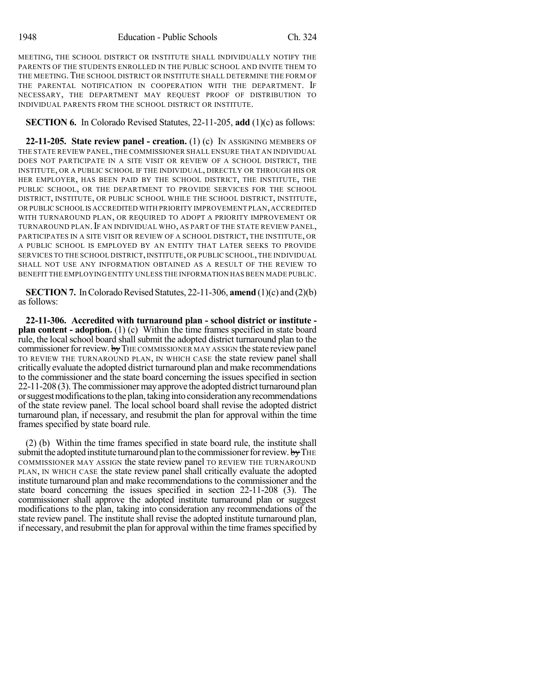MEETING, THE SCHOOL DISTRICT OR INSTITUTE SHALL INDIVIDUALLY NOTIFY THE PARENTS OF THE STUDENTS ENROLLED IN THE PUBLIC SCHOOL AND INVITE THEM TO THE MEETING. THE SCHOOL DISTRICT OR INSTITUTE SHALL DETERMINE THE FORM OF THE PARENTAL NOTIFICATION IN COOPERATION WITH THE DEPARTMENT. IF NECESSARY, THE DEPARTMENT MAY REQUEST PROOF OF DISTRIBUTION TO INDIVIDUAL PARENTS FROM THE SCHOOL DISTRICT OR INSTITUTE.

## **SECTION 6.** In Colorado Revised Statutes, 22-11-205, **add** (1)(c) as follows:

**22-11-205. State review panel - creation.** (1) (c) IN ASSIGNING MEMBERS OF THE STATE REVIEW PANEL,THE COMMISSIONER SHALL ENSURE THAT AN INDIVIDUAL DOES NOT PARTICIPATE IN A SITE VISIT OR REVIEW OF A SCHOOL DISTRICT, THE INSTITUTE, OR A PUBLIC SCHOOL IF THE INDIVIDUAL, DIRECTLY OR THROUGH HIS OR HER EMPLOYER, HAS BEEN PAID BY THE SCHOOL DISTRICT, THE INSTITUTE, THE PUBLIC SCHOOL, OR THE DEPARTMENT TO PROVIDE SERVICES FOR THE SCHOOL DISTRICT, INSTITUTE, OR PUBLIC SCHOOL WHILE THE SCHOOL DISTRICT, INSTITUTE, OR PUBLIC SCHOOL IS ACCREDITED WITH PRIORITY IMPROVEMENT PLAN,ACCREDITED WITH TURNAROUND PLAN, OR REQUIRED TO ADOPT A PRIORITY IMPROVEMENT OR TURNAROUND PLAN.IF AN INDIVIDUAL WHO, AS PART OF THE STATE REVIEW PANEL, PARTICIPATES IN A SITE VISIT OR REVIEW OF A SCHOOL DISTRICT, THE INSTITUTE, OR A PUBLIC SCHOOL IS EMPLOYED BY AN ENTITY THAT LATER SEEKS TO PROVIDE SERVICES TO THE SCHOOL DISTRICT, INSTITUTE, OR PUBLIC SCHOOL, THE INDIVIDUAL SHALL NOT USE ANY INFORMATION OBTAINED AS A RESULT OF THE REVIEW TO BENEFIT THE EMPLOYING ENTITY UNLESS THE INFORMATION HAS BEEN MADE PUBLIC.

**SECTION 7.** In Colorado Revised Statutes, 22-11-306, **amend**  $(1)(c)$  and  $(2)(b)$ as follows:

**22-11-306. Accredited with turnaround plan - school district or institute plan content - adoption.** (1) (c) Within the time frames specified in state board rule, the local school board shall submit the adopted district turnaround plan to the commissioner for review. by THE COMMISSIONER MAY ASSIGN the state review panel TO REVIEW THE TURNAROUND PLAN, IN WHICH CASE the state review panel shall critically evaluate the adopted district turnaround plan and make recommendations to the commissioner and the state board concerning the issues specified in section 22-11-208 (3). The commissionermayapprove the adopted district turnaround plan orsuggestmodificationstotheplan,takingintoconsiderationanyrecommendations of the state review panel. The local school board shall revise the adopted district turnaround plan, if necessary, and resubmit the plan for approval within the time frames specified by state board rule.

(2) (b) Within the time frames specified in state board rule, the institute shall submit the adopted institute turnaround plan to the commissioner for review. by THE COMMISSIONER MAY ASSIGN the state review panel TO REVIEW THE TURNAROUND PLAN, IN WHICH CASE the state review panel shall critically evaluate the adopted institute turnaround plan and make recommendations to the commissioner and the state board concerning the issues specified in section 22-11-208 (3). The commissioner shall approve the adopted institute turnaround plan or suggest modifications to the plan, taking into consideration any recommendations of the state review panel. The institute shall revise the adopted institute turnaround plan, if necessary, and resubmit the plan for approval within the time frames specified by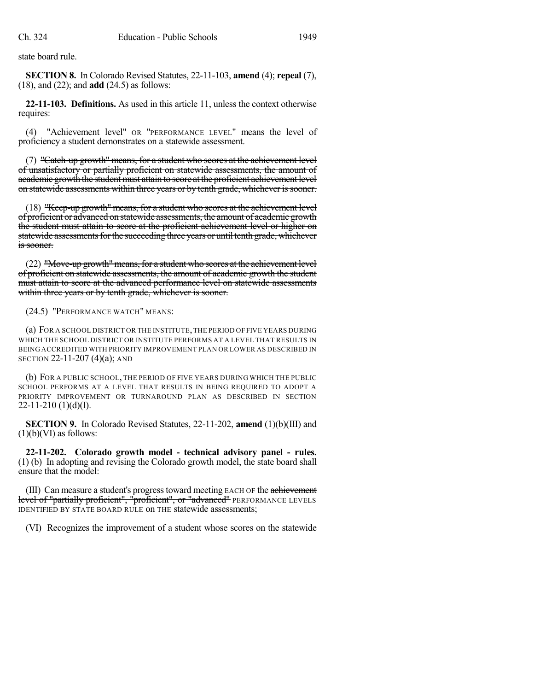state board rule.

**SECTION 8.** In Colorado Revised Statutes, 22-11-103, **amend** (4); **repeal** (7), (18), and (22); and **add** (24.5) as follows:

**22-11-103. Definitions.** As used in this article 11, unless the context otherwise requires:

(4) "Achievement level" OR "PERFORMANCE LEVEL" means the level of proficiency a student demonstrates on a statewide assessment.

(7) "Catch-up growth" means, for a student who scores at the achievement level of unsatisfactory or partially proficient on statewide assessments, the amount of academic growth the student must attain to score at the proficient achievement level on statewide assessments within three years or by tenth grade, whichever issooner.

(18) "Keep-up growth" means, for a student who scores at the achievement level of proficient or advanced on statewide assessments, the amount of academic growth the student must attain to score at the proficient achievement level or higher on statewide assessments for the succeeding three years or until tenth grade, whichever is sooner.

(22) "Move-up growth" means, for a student who scores at the achievement level of proficient on statewide assessments, the amount of academic growth the student must attain to score at the advanced performance level on statewide assessments within three years or by tenth grade, whichever is sooner.

(24.5) "PERFORMANCE WATCH" MEANS:

(a) FOR A SCHOOL DISTRICT OR THE INSTITUTE,THE PERIOD OF FIVE YEARS DURING WHICH THE SCHOOL DISTRICT OR INSTITUTE PERFORMS AT A LEVEL THAT RESULTS IN BEING ACCREDITED WITH PRIORITY IMPROVEMENT PLAN OR LOWER AS DESCRIBED IN SECTION 22-11-207 (4)(a); AND

(b) FOR A PUBLIC SCHOOL, THE PERIOD OF FIVE YEARS DURING WHICH THE PUBLIC SCHOOL PERFORMS AT A LEVEL THAT RESULTS IN BEING REQUIRED TO ADOPT A PRIORITY IMPROVEMENT OR TURNAROUND PLAN AS DESCRIBED IN SECTION  $22-11-210$  (1)(d)(I).

**SECTION 9.** In Colorado Revised Statutes, 22-11-202, **amend** (1)(b)(III) and  $(1)(b)(VI)$  as follows:

**22-11-202. Colorado growth model - technical advisory panel - rules.** (1) (b) In adopting and revising the Colorado growth model, the state board shall ensure that the model:

(III) Can measure a student's progress toward meeting EACH OF the achievement level of "partially proficient", "proficient", or "advanced" PERFORMANCE LEVELS IDENTIFIED BY STATE BOARD RULE on THE statewide assessments;

(VI) Recognizes the improvement of a student whose scores on the statewide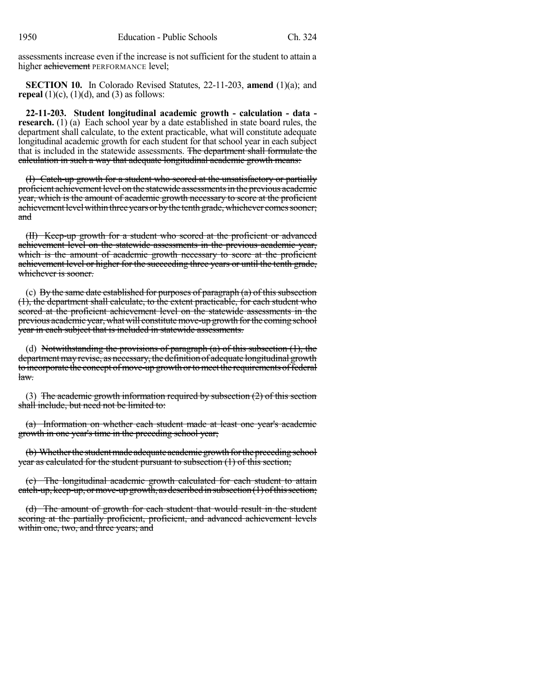assessments increase even if the increase is notsufficient for the student to attain a higher achievement PERFORMANCE level;

**SECTION 10.** In Colorado Revised Statutes, 22-11-203, **amend** (1)(a); and **repeal**  $(1)(c)$ ,  $(1)(d)$ , and  $(3)$  as follows:

**22-11-203. Student longitudinal academic growth - calculation - data research.** (1) (a) Each school year by a date established in state board rules, the department shall calculate, to the extent practicable, what will constitute adequate longitudinal academic growth for each student for that school year in each subject that is included in the statewide assessments. The department shall formulate the calculation in such a way that adequate longitudinal academic growth means:

(I) Catch-up growth for a student who scored at the unsatisfactory or partially proficient achievement level on the statewide assessments in the previous academic year, which is the amount of academic growth necessary to score at the proficient achievement level within three years or by the tenth grade, whichever comes sooner; and

(II) Keep-up growth for a student who scored at the proficient or advanced achievement level on the statewide assessments in the previous academic year, which is the amount of academic growth necessary to score at the proficient achievement level or higher for the succeeding three years or until the tenth grade, whichever is sooner.

(c) By the same date established for purposes of paragraph  $(a)$  of this subsection (1), the department shall calculate, to the extent practicable, for each student who scored at the proficient achievement level on the statewide assessments in the previous academic year, what will constitute move-up growth for the coming school year in each subject that is included in statewide assessments.

(d) Notwithstanding the provisions of paragraph  $(a)$  of this subsection  $(1)$ , the department may revise, as necessary, the definition of adequate longitudinal growth to incorporate the concept of move-up growth or to meet the requirements of federal  $law$ 

(3) The academic growth information required by subsection  $(2)$  of this section shall include, but need not be limited to:

(a) Information on whether each student made at least one year's academic growth in one year's time in the preceding school year;

(b) Whether the student made adequate academic growth for the preceding school year as calculated for the student pursuant to subsection (1) of this section;

(c) The longitudinal academic growth calculated for each student to attain catch-up, keep-up, or move-up growth, as described in subsection  $(1)$  of this section;

(d) The amount of growth for each student that would result in the student scoring at the partially proficient, proficient, and advanced achievement levels within one, two, and three years; and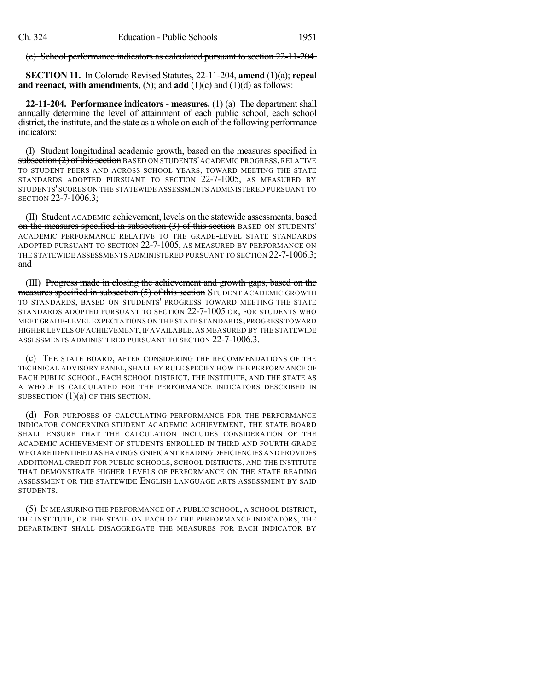(e) School performance indicators as calculated pursuant to section 22-11-204.

**SECTION 11.** In Colorado Revised Statutes, 22-11-204, **amend** (1)(a); **repeal and reenact, with amendments,** (5); and **add** (1)(c) and (1)(d) as follows:

**22-11-204. Performance indicators - measures.** (1) (a) The department shall annually determine the level of attainment of each public school, each school district, the institute, and the state as a whole on each of the following performance indicators:

(I) Student longitudinal academic growth, based on the measures specified in subsection (2) of this section BASED ON STUDENTS' ACADEMIC PROGRESS, RELATIVE TO STUDENT PEERS AND ACROSS SCHOOL YEARS, TOWARD MEETING THE STATE STANDARDS ADOPTED PURSUANT TO SECTION 22-7-1005, AS MEASURED BY STUDENTS' SCORES ON THE STATEWIDE ASSESSMENTS ADMINISTERED PURSUANT TO SECTION 22-7-1006.3;

(II) Student ACADEMIC achievement, levels on the statewide assessments, based on the measures specified in subsection (3) of this section BASED ON STUDENTS' ACADEMIC PERFORMANCE RELATIVE TO THE GRADE-LEVEL STATE STANDARDS ADOPTED PURSUANT TO SECTION 22-7-1005, AS MEASURED BY PERFORMANCE ON THE STATEWIDE ASSESSMENTS ADMINISTERED PURSUANT TO SECTION 22-7-1006.3; and

(III) Progress made in closing the achievement and growth gaps, based on the measures specified in subsection (5) of this section STUDENT ACADEMIC GROWTH TO STANDARDS, BASED ON STUDENTS' PROGRESS TOWARD MEETING THE STATE STANDARDS ADOPTED PURSUANT TO SECTION 22-7-1005 OR, FOR STUDENTS WHO MEET GRADE-LEVEL EXPECTATIONS ON THE STATE STANDARDS, PROGRESS TOWARD HIGHER LEVELS OF ACHIEVEMENT, IF AVAILABLE, AS MEASURED BY THE STATEWIDE ASSESSMENTS ADMINISTERED PURSUANT TO SECTION 22-7-1006.3.

(c) THE STATE BOARD, AFTER CONSIDERING THE RECOMMENDATIONS OF THE TECHNICAL ADVISORY PANEL, SHALL BY RULE SPECIFY HOW THE PERFORMANCE OF EACH PUBLIC SCHOOL, EACH SCHOOL DISTRICT, THE INSTITUTE, AND THE STATE AS A WHOLE IS CALCULATED FOR THE PERFORMANCE INDICATORS DESCRIBED IN SUBSECTION (1)(a) OF THIS SECTION.

(d) FOR PURPOSES OF CALCULATING PERFORMANCE FOR THE PERFORMANCE INDICATOR CONCERNING STUDENT ACADEMIC ACHIEVEMENT, THE STATE BOARD SHALL ENSURE THAT THE CALCULATION INCLUDES CONSIDERATION OF THE ACADEMIC ACHIEVEMENT OF STUDENTS ENROLLED IN THIRD AND FOURTH GRADE WHO ARE IDENTIFIED AS HAVING SIGNIFICANT READING DEFICIENCIES AND PROVIDES ADDITIONAL CREDIT FOR PUBLIC SCHOOLS, SCHOOL DISTRICTS, AND THE INSTITUTE THAT DEMONSTRATE HIGHER LEVELS OF PERFORMANCE ON THE STATE READING ASSESSMENT OR THE STATEWIDE ENGLISH LANGUAGE ARTS ASSESSMENT BY SAID STUDENTS.

(5) IN MEASURING THE PERFORMANCE OF A PUBLIC SCHOOL, A SCHOOL DISTRICT, THE INSTITUTE, OR THE STATE ON EACH OF THE PERFORMANCE INDICATORS, THE DEPARTMENT SHALL DISAGGREGATE THE MEASURES FOR EACH INDICATOR BY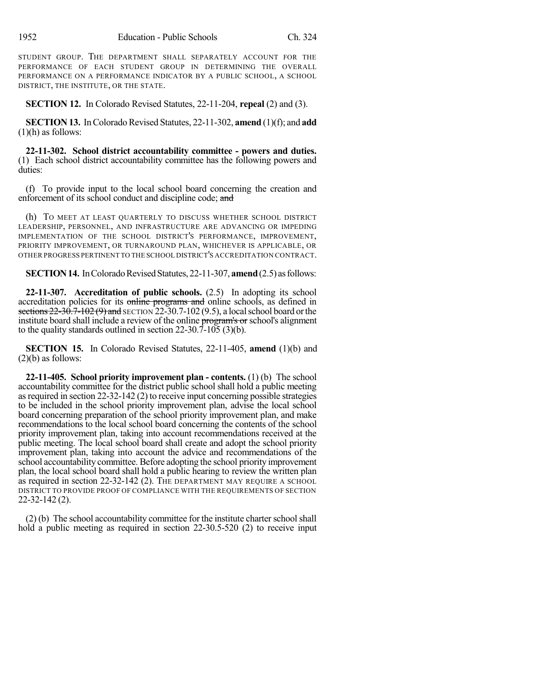STUDENT GROUP. THE DEPARTMENT SHALL SEPARATELY ACCOUNT FOR THE PERFORMANCE OF EACH STUDENT GROUP IN DETERMINING THE OVERALL PERFORMANCE ON A PERFORMANCE INDICATOR BY A PUBLIC SCHOOL, A SCHOOL DISTRICT, THE INSTITUTE, OR THE STATE.

**SECTION 12.** In Colorado Revised Statutes, 22-11-204, **repeal** (2) and (3).

**SECTION 13.** In Colorado Revised Statutes, 22-11-302, amend (1)(f); and add  $(1)(h)$  as follows:

**22-11-302. School district accountability committee - powers and duties.** (1) Each school district accountability committee has the following powers and duties:

(f) To provide input to the local school board concerning the creation and enforcement of its school conduct and discipline code; and

(h) TO MEET AT LEAST QUARTERLY TO DISCUSS WHETHER SCHOOL DISTRICT LEADERSHIP, PERSONNEL, AND INFRASTRUCTURE ARE ADVANCING OR IMPEDING IMPLEMENTATION OF THE SCHOOL DISTRICT'S PERFORMANCE, IMPROVEMENT, PRIORITY IMPROVEMENT, OR TURNAROUND PLAN, WHICHEVER IS APPLICABLE, OR OTHER PROGRESS PERTINENT TO THE SCHOOL DISTRICT'S ACCREDITATION CONTRACT.

**SECTION 14.** In Colorado Revised Statutes, 22-11-307, **amend** (2.5) as follows:

**22-11-307. Accreditation of public schools.** (2.5) In adopting its school accreditation policies for its online programs and online schools, as defined in sections  $22-30.7-102(9)$  and SECTION 22-30.7-102 (9.5), a local school board or the institute board shall include a review of the online program's or school's alignment to the quality standards outlined in section 22-30.7-105 (3)(b).

**SECTION 15.** In Colorado Revised Statutes, 22-11-405, **amend** (1)(b) and  $(2)(b)$  as follows:

**22-11-405. School priority improvement plan - contents.** (1) (b) The school accountability committee for the district public school shall hold a public meeting as required in section  $22-32-142(2)$  to receive input concerning possible strategies to be included in the school priority improvement plan, advise the local school board concerning preparation of the school priority improvement plan, and make recommendations to the local school board concerning the contents of the school priority improvement plan, taking into account recommendations received at the public meeting. The local school board shall create and adopt the school priority improvement plan, taking into account the advice and recommendations of the school accountability committee. Before adopting the school priority improvement plan, the local school board shall hold a public hearing to review the written plan as required in section 22-32-142 (2). THE DEPARTMENT MAY REQUIRE A SCHOOL DISTRICT TO PROVIDE PROOF OF COMPLIANCE WITH THE REQUIREMENTS OF SECTION 22-32-142 (2).

 $(2)$  (b) The school accountability committee for the institute charter school shall hold a public meeting as required in section 22-30.5-520 (2) to receive input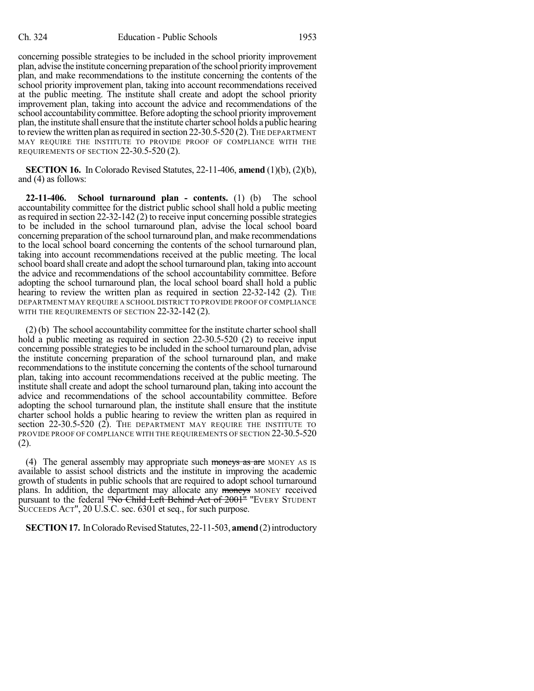concerning possible strategies to be included in the school priority improvement plan, advise the institute concerning preparation of the school priority improvement plan, and make recommendations to the institute concerning the contents of the school priority improvement plan, taking into account recommendations received at the public meeting. The institute shall create and adopt the school priority improvement plan, taking into account the advice and recommendations of the school accountability committee. Before adopting the school priority improvement plan, the institute shall ensure that the institute charter school holds a public hearing to review the written plan as required in section 22-30.5-520 (2). The DEPARTMENT MAY REQUIRE THE INSTITUTE TO PROVIDE PROOF OF COMPLIANCE WITH THE REQUIREMENTS OF SECTION 22-30.5-520 (2).

**SECTION 16.** In Colorado Revised Statutes, 22-11-406, **amend** (1)(b), (2)(b), and (4) as follows:

**22-11-406. School turnaround plan - contents.** (1) (b) The school accountability committee for the district public school shall hold a public meeting as required in section  $22-32-142$  (2) to receive input concerning possible strategies to be included in the school turnaround plan, advise the local school board concerning preparation of the school turnaround plan, and make recommendations to the local school board concerning the contents of the school turnaround plan, taking into account recommendations received at the public meeting. The local school board shall create and adopt the school turnaround plan, taking into account the advice and recommendations of the school accountability committee. Before adopting the school turnaround plan, the local school board shall hold a public hearing to review the written plan as required in section 22-32-142 (2). The DEPARTMENT MAY REQUIRE A SCHOOL DISTRICT TO PROVIDE PROOF OF COMPLIANCE WITH THE REQUIREMENTS OF SECTION 22-32-142 (2).

 $(2)$  (b) The school accountability committee for the institute charter school shall hold a public meeting as required in section 22-30.5-520 (2) to receive input concerning possible strategies to be included in the school turnaround plan, advise the institute concerning preparation of the school turnaround plan, and make recommendations to the institute concerning the contents of the school turnaround plan, taking into account recommendations received at the public meeting. The institute shall create and adopt the school turnaround plan, taking into account the advice and recommendations of the school accountability committee. Before adopting the school turnaround plan, the institute shall ensure that the institute charter school holds a public hearing to review the written plan as required in section 22-30.5-520 (2). THE DEPARTMENT MAY REQUIRE THE INSTITUTE TO PROVIDE PROOF OF COMPLIANCE WITH THE REQUIREMENTS OF SECTION 22-30.5-520 (2).

(4) The general assembly may appropriate such moneys as are MONEY AS IS available to assist school districts and the institute in improving the academic growth of students in public schools that are required to adopt school turnaround plans. In addition, the department may allocate any moneys MONEY received pursuant to the federal "No Child Left Behind Act of 2001" "EVERY STUDENT SUCCEEDS ACT", 20 U.S.C. sec. 6301 et seq., for such purpose.

**SECTION 17.** In Colorado Revised Statutes, 22-11-503, **amend** (2) introductory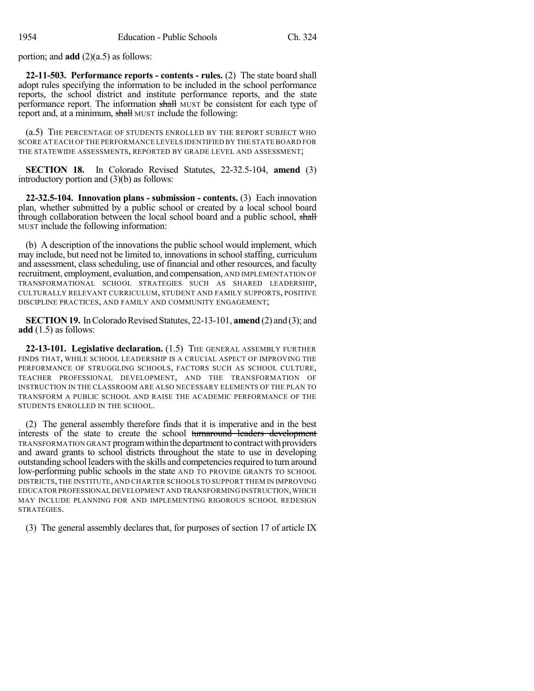portion; and **add** (2)(a.5) as follows:

**22-11-503. Performance reports - contents - rules.** (2) The state board shall adopt rules specifying the information to be included in the school performance reports, the school district and institute performance reports, and the state performance report. The information shall MUST be consistent for each type of report and, at a minimum, shall MUST include the following:

(a.5) THE PERCENTAGE OF STUDENTS ENROLLED BY THE REPORT SUBJECT WHO SCORE AT EACH OF THE PERFORMANCE LEVELS IDENTIFIED BY THE STATE BOARD FOR THE STATEWIDE ASSESSMENTS, REPORTED BY GRADE LEVEL AND ASSESSMENT;

**SECTION 18.** In Colorado Revised Statutes, 22-32.5-104, **amend** (3) introductory portion and (3)(b) as follows:

**22-32.5-104. Innovation plans - submission - contents.** (3) Each innovation plan, whether submitted by a public school or created by a local school board through collaboration between the local school board and a public school, shall MUST include the following information:

(b) A description of the innovations the public school would implement, which may include, but need not be limited to, innovations in school staffing, curriculum and assessment, class scheduling, use of financial and other resources, and faculty recruitment, employment, evaluation, and compensation, AND IMPLEMENTATION OF TRANSFORMATIONAL SCHOOL STRATEGIES SUCH AS SHARED LEADERSHIP, CULTURALLY RELEVANT CURRICULUM, STUDENT AND FAMILY SUPPORTS, POSITIVE DISCIPLINE PRACTICES, AND FAMILY AND COMMUNITY ENGAGEMENT;

**SECTION 19.** In Colorado Revised Statutes, 22-13-101, **amend** (2) and (3); and **add** (1.5) as follows:

**22-13-101. Legislative declaration.** (1.5) THE GENERAL ASSEMBLY FURTHER FINDS THAT, WHILE SCHOOL LEADERSHIP IS A CRUCIAL ASPECT OF IMPROVING THE PERFORMANCE OF STRUGGLING SCHOOLS, FACTORS SUCH AS SCHOOL CULTURE, TEACHER PROFESSIONAL DEVELOPMENT, AND THE TRANSFORMATION OF INSTRUCTION IN THE CLASSROOM ARE ALSO NECESSARY ELEMENTS OF THE PLAN TO TRANSFORM A PUBLIC SCHOOL AND RAISE THE ACADEMIC PERFORMANCE OF THE STUDENTS ENROLLED IN THE SCHOOL.

(2) The general assembly therefore finds that it is imperative and in the best interests of the state to create the school turnaround leaders development TRANSFORMATION GRANT program within the department to contract with providers and award grants to school districts throughout the state to use in developing outstanding school leaders with the skills and competenciesrequired to turn around low-performing public schools in the state AND TO PROVIDE GRANTS TO SCHOOL DISTRICTS,THE INSTITUTE, AND CHARTER SCHOOLS TO SUPPORT THEM IN IMPROVING EDUCATOR PROFESSIONAL DEVELOPMENT AND TRANSFORMING INSTRUCTION,WHICH MAY INCLUDE PLANNING FOR AND IMPLEMENTING RIGOROUS SCHOOL REDESIGN STRATEGIES.

(3) The general assembly declares that, for purposes of section 17 of article IX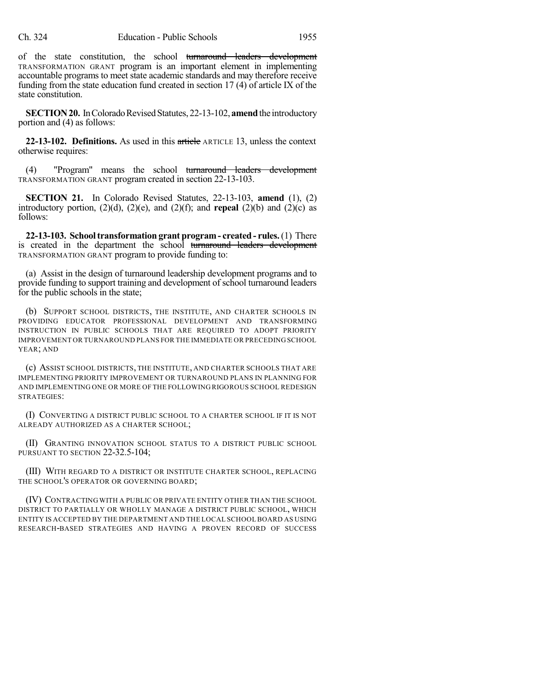of the state constitution, the school turnaround leaders development TRANSFORMATION GRANT program is an important element in implementing accountable programs to meet state academic standards and may therefore receive funding from the state education fund created in section 17 (4) of article IX of the state constitution.

**SECTION 20.** In Colorado Revised Statutes, 22-13-102, **amend** the introductory portion and (4) as follows:

**22-13-102. Definitions.** As used in this article ARTICLE 13, unless the context otherwise requires:

(4) "Program" means the school turnaround leaders development TRANSFORMATION GRANT program created in section 22-13-103.

**SECTION 21.** In Colorado Revised Statutes, 22-13-103, **amend** (1), (2) introductory portion,  $(2)(d)$ ,  $(2)(e)$ , and  $(2)(f)$ ; and **repeal**  $(2)(b)$  and  $(2)(c)$  as follows:

**22-13-103. Schooltransformation grant program- created - rules.**(1) There is created in the department the school turnaround leaders development TRANSFORMATION GRANT program to provide funding to:

(a) Assist in the design of turnaround leadership development programs and to provide funding to support training and development of school turnaround leaders for the public schools in the state;

(b) SUPPORT SCHOOL DISTRICTS, THE INSTITUTE, AND CHARTER SCHOOLS IN PROVIDING EDUCATOR PROFESSIONAL DEVELOPMENT AND TRANSFORMING INSTRUCTION IN PUBLIC SCHOOLS THAT ARE REQUIRED TO ADOPT PRIORITY IMPROVEMENT OR TURNAROUND PLANS FOR THE IMMEDIATE OR PRECEDING SCHOOL YEAR; AND

(c) ASSIST SCHOOL DISTRICTS, THE INSTITUTE, AND CHARTER SCHOOLS THAT ARE IMPLEMENTING PRIORITY IMPROVEMENT OR TURNAROUND PLANS IN PLANNING FOR AND IMPLEMENTING ONE OR MORE OF THE FOLLOWING RIGOROUS SCHOOL REDESIGN STRATEGIES:

(I) CONVERTING A DISTRICT PUBLIC SCHOOL TO A CHARTER SCHOOL IF IT IS NOT ALREADY AUTHORIZED AS A CHARTER SCHOOL;

(II) GRANTING INNOVATION SCHOOL STATUS TO A DISTRICT PUBLIC SCHOOL PURSUANT TO SECTION 22-32.5-104;

(III) WITH REGARD TO A DISTRICT OR INSTITUTE CHARTER SCHOOL, REPLACING THE SCHOOL'S OPERATOR OR GOVERNING BOARD;

(IV) CONTRACTING WITH A PUBLIC OR PRIVATE ENTITY OTHER THAN THE SCHOOL DISTRICT TO PARTIALLY OR WHOLLY MANAGE A DISTRICT PUBLIC SCHOOL, WHICH ENTITY IS ACCEPTED BY THE DEPARTMENT AND THE LOCAL SCHOOLBOARD AS USING RESEARCH-BASED STRATEGIES AND HAVING A PROVEN RECORD OF SUCCESS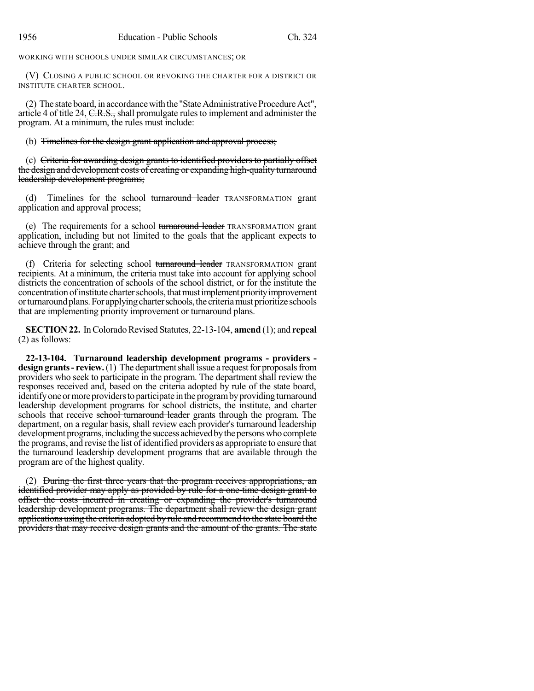WORKING WITH SCHOOLS UNDER SIMILAR CIRCUMSTANCES; OR

(V) CLOSING A PUBLIC SCHOOL OR REVOKING THE CHARTER FOR A DISTRICT OR INSTITUTE CHARTER SCHOOL.

(2) The state board, in accordancewiththe "StateAdministrativeProcedureAct", article 4 of title 24, C.R.S., shall promulgate rulesto implement and administer the program. At a minimum, the rules must include:

(b) Timelines for the design grant application and approval process;

(c) Criteria for awarding design grants to identified providers to partially offset the design and development costs of creating or expanding high-quality turnaround leadership development programs;

(d) Timelines for the school turnaround leader TRANSFORMATION grant application and approval process;

(e) The requirements for a school turnaround leader TRANSFORMATION grant application, including but not limited to the goals that the applicant expects to achieve through the grant; and

(f) Criteria for selecting school turnaround leader TRANSFORMATION grant recipients. At a minimum, the criteria must take into account for applying school districts the concentration of schools of the school district, or for the institute the concentration of institute charter schools, that must implement priority improvement or turnaround plans. For applying charter schools, the criteria must prioritize schools that are implementing priority improvement or turnaround plans.

**SECTION 22.** In Colorado Revised Statutes, 22-13-104, **amend** (1); and **repeal** (2) as follows:

**22-13-104. Turnaround leadership development programs - providers design grants - review.** (1) The department shall issue a request for proposals from providers who seek to participate in the program. The department shall review the responses received and, based on the criteria adopted by rule of the state board, identify one or more providers to participate in the program by providing turnaround leadership development programs for school districts, the institute, and charter schools that receive school turnaround leader grants through the program. The department, on a regular basis, shall review each provider's turnaround leadership development programs, including the success achieved by the persons who complete the programs, and revise the list of identified providers as appropriate to ensure that the turnaround leadership development programs that are available through the program are of the highest quality.

(2) During the first three years that the program receives appropriations, an identified provider may apply as provided by rule for a one-time design grant to offset the costs incurred in creating or expanding the provider's turnaround leadership development programs. The department shall review the design grant applications using the criteria adopted by rule and recommend to the state board the providers that may receive design grants and the amount of the grants. The state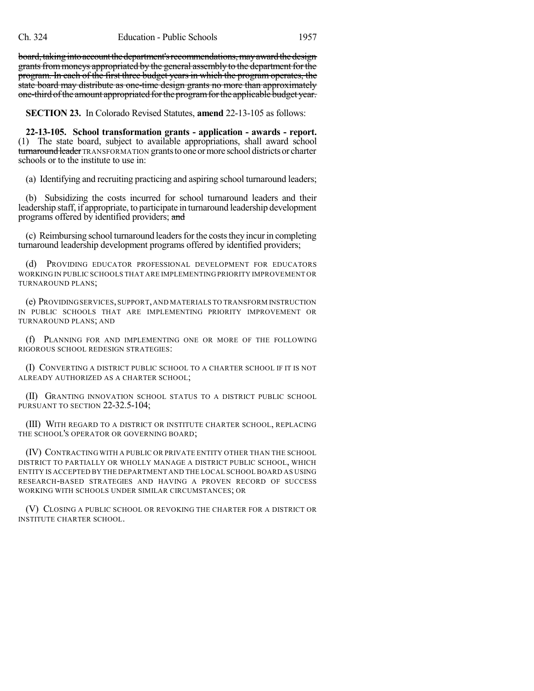board, taking into account the department's recommendations, may award the design grants from moneys appropriated by the general assembly to the department for the program. In each of the first three budget years in which the program operates, the state board may distribute as one-time design grants no more than approximately one-third ofthe amount appropriated forthe programforthe applicable budget year.

**SECTION 23.** In Colorado Revised Statutes, **amend** 22-13-105 as follows:

**22-13-105. School transformation grants - application - awards - report.** (1) The state board, subject to available appropriations, shall award school turnaround leader TRANSFORMATION grants to one or more school districts or charter schools or to the institute to use in:

(a) Identifying and recruiting practicing and aspiring school turnaround leaders;

(b) Subsidizing the costs incurred for school turnaround leaders and their leadership staff, if appropriate, to participate in turnaround leadership development programs offered by identified providers; and

(c) Reimbursing school turnaround leaders for the costs they incur in completing turnaround leadership development programs offered by identified providers;

(d) PROVIDING EDUCATOR PROFESSIONAL DEVELOPMENT FOR EDUCATORS WORKING IN PUBLIC SCHOOLS THAT ARE IMPLEMENTING PRIORITY IMPROVEMENT OR TURNAROUND PLANS;

(e) PROVIDINGSERVICES,SUPPORT,AND MATERIALS TO TRANSFORM INSTRUCTION IN PUBLIC SCHOOLS THAT ARE IMPLEMENTING PRIORITY IMPROVEMENT OR TURNAROUND PLANS; AND

(f) PLANNING FOR AND IMPLEMENTING ONE OR MORE OF THE FOLLOWING RIGOROUS SCHOOL REDESIGN STRATEGIES:

(I) CONVERTING A DISTRICT PUBLIC SCHOOL TO A CHARTER SCHOOL IF IT IS NOT ALREADY AUTHORIZED AS A CHARTER SCHOOL;

(II) GRANTING INNOVATION SCHOOL STATUS TO A DISTRICT PUBLIC SCHOOL PURSUANT TO SECTION 22-32.5-104:

(III) WITH REGARD TO A DISTRICT OR INSTITUTE CHARTER SCHOOL, REPLACING THE SCHOOL'S OPERATOR OR GOVERNING BOARD;

(IV) CONTRACTING WITH A PUBLIC OR PRIVATE ENTITY OTHER THAN THE SCHOOL DISTRICT TO PARTIALLY OR WHOLLY MANAGE A DISTRICT PUBLIC SCHOOL, WHICH ENTITY IS ACCEPTED BY THE DEPARTMENT AND THE LOCAL SCHOOL BOARD AS USING RESEARCH-BASED STRATEGIES AND HAVING A PROVEN RECORD OF SUCCESS WORKING WITH SCHOOLS UNDER SIMILAR CIRCUMSTANCES; OR

(V) CLOSING A PUBLIC SCHOOL OR REVOKING THE CHARTER FOR A DISTRICT OR INSTITUTE CHARTER SCHOOL.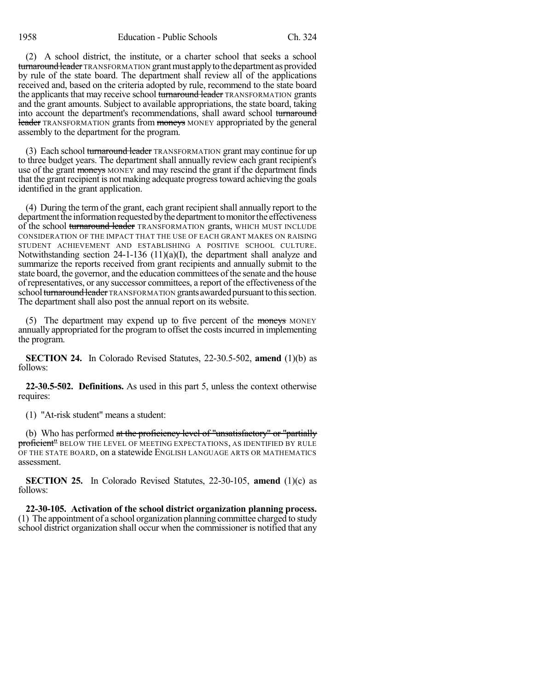(2) A school district, the institute, or a charter school that seeks a school turnaround leader TRANSFORMATION grant must apply to the department as provided by rule of the state board. The department shall review all of the applications received and, based on the criteria adopted by rule, recommend to the state board the applicants that may receive school turnaround leader TRANSFORMATION grants and the grant amounts. Subject to available appropriations, the state board, taking into account the department's recommendations, shall award school turnaround leader TRANSFORMATION grants from moneys MONEY appropriated by the general assembly to the department for the program.

(3) Each school turnaround leader TRANSFORMATION grant may continue for up to three budget years. The department shall annually review each grant recipient's use of the grant moneys MONEY and may rescind the grant if the department finds that the grant recipient is not making adequate progresstoward achieving the goals identified in the grant application.

(4) During the term of the grant, each grant recipientshall annually report to the department the information requested by the department to monitor the effectiveness of the school turnaround leader TRANSFORMATION grants, WHICH MUST INCLUDE CONSIDERATION OF THE IMPACT THAT THE USE OF EACH GRANT MAKES ON RAISING STUDENT ACHIEVEMENT AND ESTABLISHING A POSITIVE SCHOOL CULTURE. Notwithstanding section 24-1-136 (11)(a)(I), the department shall analyze and summarize the reports received from grant recipients and annually submit to the state board, the governor, and the education committees of the senate and the house of representatives, or any successor committees, a report of the effectiveness of the school turnaround leader TRANSFORMATION grants awarded pursuant to this section. The department shall also post the annual report on its website.

(5) The department may expend up to five percent of the moneys MONEY annually appropriated for the program to offset the costs incurred in implementing the program.

**SECTION 24.** In Colorado Revised Statutes, 22-30.5-502, **amend** (1)(b) as follows:

**22-30.5-502. Definitions.** As used in this part 5, unless the context otherwise requires:

(1) "At-risk student" means a student:

(b) Who has performed at the proficiency level of "unsatisfactory" or "partially proficient" BELOW THE LEVEL OF MEETING EXPECTATIONS, AS IDENTIFIED BY RULE OF THE STATE BOARD, on a statewide ENGLISH LANGUAGE ARTS OR MATHEMATICS assessment.

**SECTION 25.** In Colorado Revised Statutes, 22-30-105, **amend** (1)(c) as follows:

**22-30-105. Activation of the school district organization planning process.** (1) The appointment of a school organization planning committee charged to study school district organization shall occur when the commissioner is notified that any